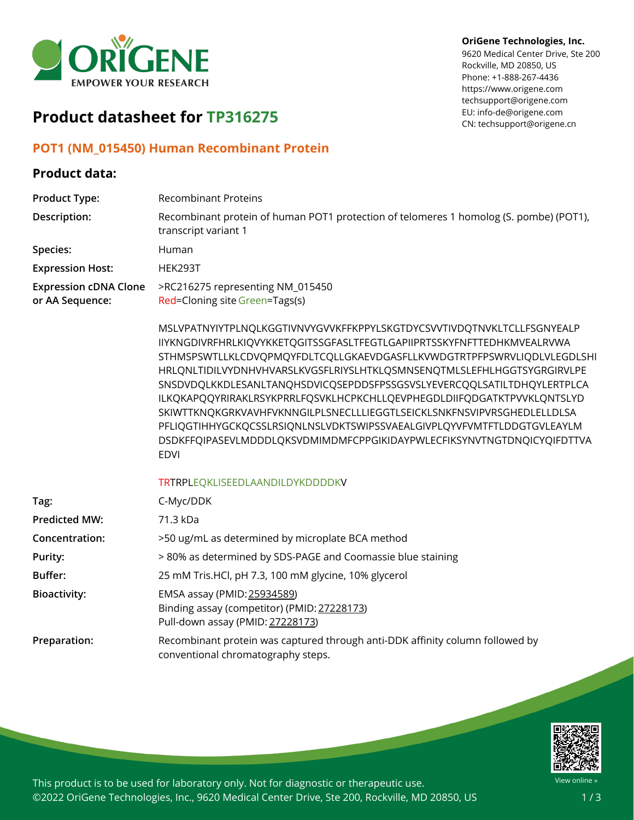

# **Product datasheet for TP316275**

### **POT1 (NM\_015450) Human Recombinant Protein**

#### **Product data:**

#### **OriGene Technologies, Inc.**

9620 Medical Center Drive, Ste 200 Rockville, MD 20850, US Phone: +1-888-267-4436 https://www.origene.com techsupport@origene.com EU: info-de@origene.com CN: techsupport@origene.cn

| <b>Product Type:</b>                            | <b>Recombinant Proteins</b>                                                                                                                                                                                                                                                                                                                                                                                                                                                                                                                                                                                                                                                                           |
|-------------------------------------------------|-------------------------------------------------------------------------------------------------------------------------------------------------------------------------------------------------------------------------------------------------------------------------------------------------------------------------------------------------------------------------------------------------------------------------------------------------------------------------------------------------------------------------------------------------------------------------------------------------------------------------------------------------------------------------------------------------------|
| Description:                                    | Recombinant protein of human POT1 protection of telomeres 1 homolog (S. pombe) (POT1),<br>transcript variant 1                                                                                                                                                                                                                                                                                                                                                                                                                                                                                                                                                                                        |
| Species:                                        | Human                                                                                                                                                                                                                                                                                                                                                                                                                                                                                                                                                                                                                                                                                                 |
| <b>Expression Host:</b>                         | HEK293T                                                                                                                                                                                                                                                                                                                                                                                                                                                                                                                                                                                                                                                                                               |
| <b>Expression cDNA Clone</b><br>or AA Sequence: | >RC216275 representing NM_015450<br>Red=Cloning site Green=Tags(s)                                                                                                                                                                                                                                                                                                                                                                                                                                                                                                                                                                                                                                    |
|                                                 | MSLVPATNYIYTPLNQLKGGTIVNVYGVVKFFKPPYLSKGTDYCSVVTIVDQTNVKLTCLLFSGNYEALP<br>IIYKNGDIVRFHRLKIQVYKKETQGITSSGFASLTFEGTLGAPIIPRTSSKYFNFTTEDHKMVEALRVWA<br>STHMSPSWTLLKLCDVQPMQYFDLTCQLLGKAEVDGASFLLKVWDGTRTPFPSWRVLIQDLVLEGDLSHI<br>HRLQNLTIDILVYDNHVHVARSLKVGSFLRIYSLHTKLQSMNSENQTMLSLEFHLHGGTSYGRGIRVLPE<br>SNSDVDQLKKDLESANLTANQHSDVICQSEPDDSFPSSGSVSLYEVERCQQLSATILTDHQYLERTPLCA<br>ILKQKAPQQYRIRAKLRSYKPRRLFQSVKLHCPKCHLLQEVPHEGDLDIIFQDGATKTPVVKLQNTSLYD<br>SKIWTTKNQKGRKVAVHFVKNNGILPLSNECLLLIEGGTLSEICKLSNKFNSVIPVRSGHEDLELLDLSA<br>PFLIQGTIHHYGCKQCSSLRSIQNLNSLVDKTSWIPSSVAEALGIVPLQYVFVMTFTLDDGTGVLEAYLM<br>DSDKFFQIPASEVLMDDDLQKSVDMIMDMFCPPGIKIDAYPWLECFIKSYNVTNGTDNQICYQIFDTTVA<br><b>EDVI</b> |
|                                                 | TRTRPLEQKLISEEDLAANDILDYKDDDDKV                                                                                                                                                                                                                                                                                                                                                                                                                                                                                                                                                                                                                                                                       |
| Tag:                                            | C-Myc/DDK                                                                                                                                                                                                                                                                                                                                                                                                                                                                                                                                                                                                                                                                                             |
| <b>Predicted MW:</b>                            | 71.3 kDa                                                                                                                                                                                                                                                                                                                                                                                                                                                                                                                                                                                                                                                                                              |
| Concentration:                                  | >50 ug/mL as determined by microplate BCA method                                                                                                                                                                                                                                                                                                                                                                                                                                                                                                                                                                                                                                                      |
| Purity:                                         | > 80% as determined by SDS-PAGE and Coomassie blue staining                                                                                                                                                                                                                                                                                                                                                                                                                                                                                                                                                                                                                                           |
| <b>Buffer:</b>                                  | 25 mM Tris.HCl, pH 7.3, 100 mM glycine, 10% glycerol                                                                                                                                                                                                                                                                                                                                                                                                                                                                                                                                                                                                                                                  |
| <b>Bioactivity:</b>                             | EMSA assay (PMID: 25934589)<br>Binding assay (competitor) (PMID: 27228173)<br>Pull-down assay (PMID: 27228173)                                                                                                                                                                                                                                                                                                                                                                                                                                                                                                                                                                                        |
| Preparation:                                    | Recombinant protein was captured through anti-DDK affinity column followed by<br>conventional chromatography steps.                                                                                                                                                                                                                                                                                                                                                                                                                                                                                                                                                                                   |



This product is to be used for laboratory only. Not for diagnostic or therapeutic use. ©2022 OriGene Technologies, Inc., 9620 Medical Center Drive, Ste 200, Rockville, MD 20850, US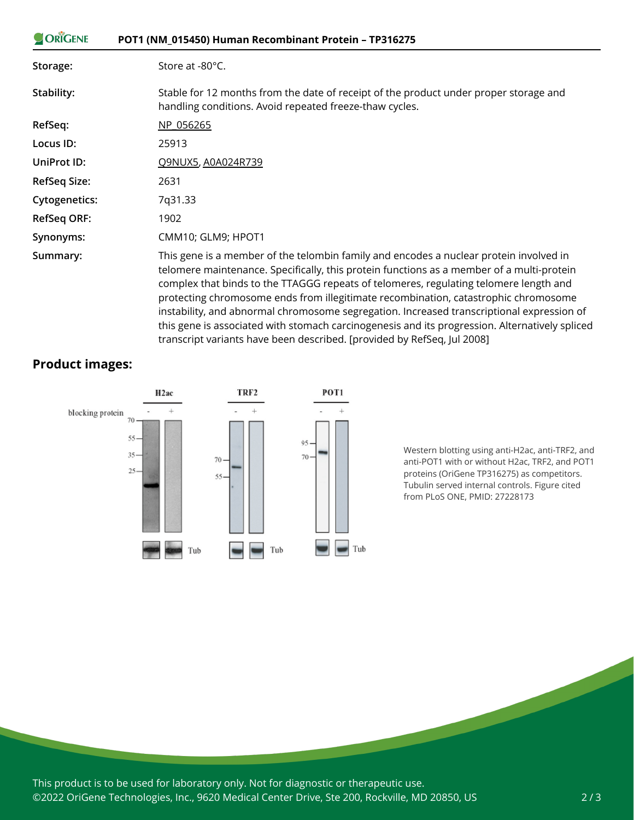| ORIGENE              | POT1 (NM_015450) Human Recombinant Protein - TP316275                                                                                                                                                                                                                                                                                                                                                                                                                                                                                                              |
|----------------------|--------------------------------------------------------------------------------------------------------------------------------------------------------------------------------------------------------------------------------------------------------------------------------------------------------------------------------------------------------------------------------------------------------------------------------------------------------------------------------------------------------------------------------------------------------------------|
| Storage:             | Store at -80°C.                                                                                                                                                                                                                                                                                                                                                                                                                                                                                                                                                    |
| Stability:           | Stable for 12 months from the date of receipt of the product under proper storage and<br>handling conditions. Avoid repeated freeze-thaw cycles.                                                                                                                                                                                                                                                                                                                                                                                                                   |
| RefSeq:              | NP 056265                                                                                                                                                                                                                                                                                                                                                                                                                                                                                                                                                          |
| Locus ID:            | 25913                                                                                                                                                                                                                                                                                                                                                                                                                                                                                                                                                              |
| UniProt ID:          | Q9NUX5, A0A024R739                                                                                                                                                                                                                                                                                                                                                                                                                                                                                                                                                 |
| <b>RefSeq Size:</b>  | 2631                                                                                                                                                                                                                                                                                                                                                                                                                                                                                                                                                               |
| <b>Cytogenetics:</b> | 7q31.33                                                                                                                                                                                                                                                                                                                                                                                                                                                                                                                                                            |
| <b>RefSeq ORF:</b>   | 1902                                                                                                                                                                                                                                                                                                                                                                                                                                                                                                                                                               |
| Synonyms:            | CMM10; GLM9; HPOT1                                                                                                                                                                                                                                                                                                                                                                                                                                                                                                                                                 |
| Summary:             | This gene is a member of the telombin family and encodes a nuclear protein involved in<br>telomere maintenance. Specifically, this protein functions as a member of a multi-protein<br>complex that binds to the TTAGGG repeats of telomeres, regulating telomere length and<br>protecting chromosome ends from illegitimate recombination, catastrophic chromosome<br>instability, and abnormal chromosome segregation. Increased transcriptional expression of<br>this gene is associated with stomach carcinogenesis and its progression. Alternatively spliced |

transcript variants have been described. [provided by RefSeq, Jul 2008]

## **Product images:**



Western blotting using anti-H2ac, anti-TRF2, and anti-POT1 with or without H2ac, TRF2, and POT1 proteins (OriGene TP316275) as competitors. Tubulin served internal controls. Figure cited from PLoS ONE, PMID: 27228173

This product is to be used for laboratory only. Not for diagnostic or therapeutic use. ©2022 OriGene Technologies, Inc., 9620 Medical Center Drive, Ste 200, Rockville, MD 20850, US